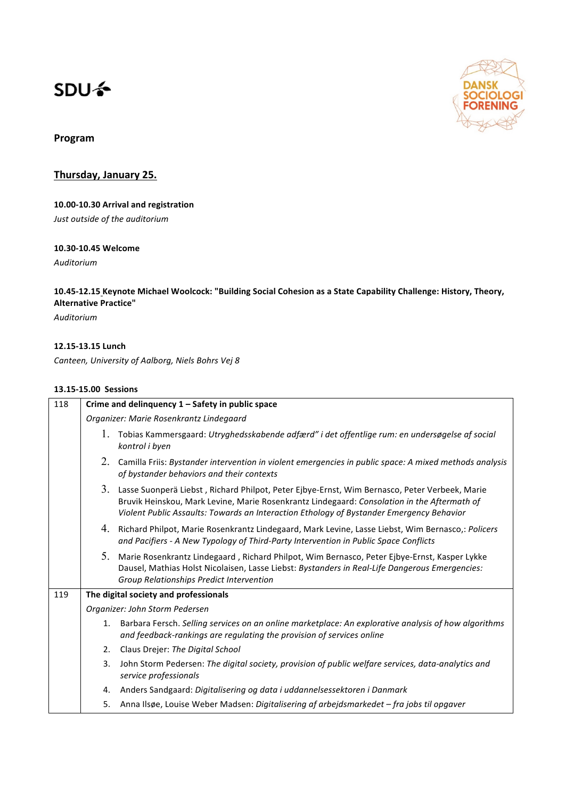# **SDU<sup>4</sup>**



# **Program**

**Thursday, January 25.** 

# 10.00-10.30 Arrival and registration

*Just outside of the auditorium*

# **10.30-10.45 Welcome**

*Auditorium* 

## 10.45-12.15 Keynote Michael Woolcock: "Building Social Cohesion as a State Capability Challenge: History, Theory, **Alternative Practice"**

*Auditorium*

#### **12.15-13.15 Lunch**

Canteen, University of Aalborg, Niels Bohrs Vej 8

# **13.15-15.00 Sessions**

| 118 | Crime and delinquency 1 - Safety in public space |                                                                                                                                                                                                                                                                                             |  |
|-----|--------------------------------------------------|---------------------------------------------------------------------------------------------------------------------------------------------------------------------------------------------------------------------------------------------------------------------------------------------|--|
|     | Organizer: Marie Rosenkrantz Lindegaard          |                                                                                                                                                                                                                                                                                             |  |
|     |                                                  | 1. Tobias Kammersgaard: Utryghedsskabende adfærd" i det offentlige rum: en undersøgelse af social<br>kontrol i byen                                                                                                                                                                         |  |
|     |                                                  | 2. Camilla Friis: Bystander intervention in violent emergencies in public space: A mixed methods analysis<br>of bystander behaviors and their contexts                                                                                                                                      |  |
|     |                                                  | 3. Lasse Suonperä Liebst, Richard Philpot, Peter Ejbye-Ernst, Wim Bernasco, Peter Verbeek, Marie<br>Bruvik Heinskou, Mark Levine, Marie Rosenkrantz Lindegaard: Consolation in the Aftermath of<br>Violent Public Assaults: Towards an Interaction Ethology of Bystander Emergency Behavior |  |
|     |                                                  | 4. Richard Philpot, Marie Rosenkrantz Lindegaard, Mark Levine, Lasse Liebst, Wim Bernasco,: Policers<br>and Pacifiers - A New Typology of Third-Party Intervention in Public Space Conflicts                                                                                                |  |
|     |                                                  | 5. Marie Rosenkrantz Lindegaard, Richard Philpot, Wim Bernasco, Peter Ejbye-Ernst, Kasper Lykke<br>Dausel, Mathias Holst Nicolaisen, Lasse Liebst: Bystanders in Real-Life Dangerous Emergencies:<br>Group Relationships Predict Intervention                                               |  |
| 119 | The digital society and professionals            |                                                                                                                                                                                                                                                                                             |  |
|     |                                                  | Organizer: John Storm Pedersen                                                                                                                                                                                                                                                              |  |
|     |                                                  | 1. Barbara Fersch. Selling services on an online marketplace: An explorative analysis of how algorithms<br>and feedback-rankings are regulating the provision of services online                                                                                                            |  |
|     |                                                  | 2. Claus Drejer: The Digital School                                                                                                                                                                                                                                                         |  |
|     | 3.                                               | John Storm Pedersen: The digital society, provision of public welfare services, data-analytics and<br>service professionals                                                                                                                                                                 |  |
|     | 4.                                               | Anders Sandgaard: Digitalisering og data i uddannelsessektoren i Danmark                                                                                                                                                                                                                    |  |
|     |                                                  | 5. Anna Ilsøe, Louise Weber Madsen: Digitalisering af arbejdsmarkedet - fra jobs til opgaver                                                                                                                                                                                                |  |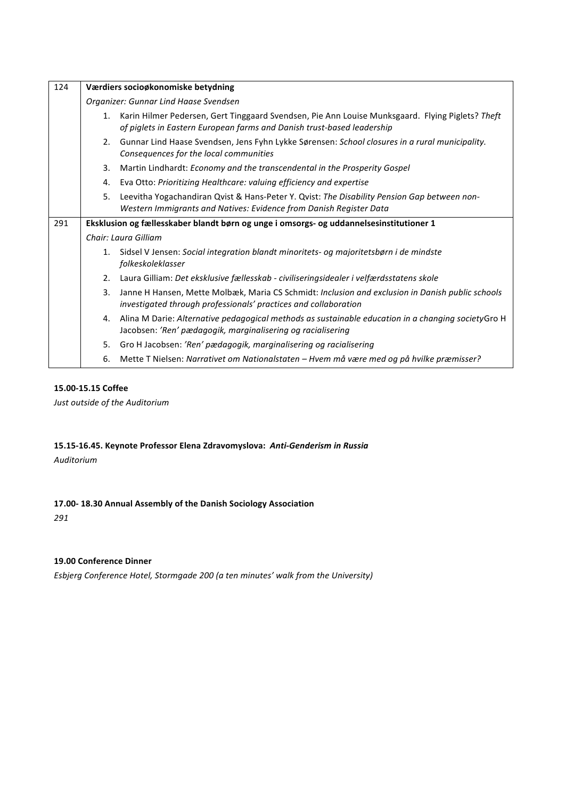| 124                                                                                            | Værdiers socioøkonomiske betydning    |                                                                                                                                                                            |  |
|------------------------------------------------------------------------------------------------|---------------------------------------|----------------------------------------------------------------------------------------------------------------------------------------------------------------------------|--|
|                                                                                                | Organizer: Gunnar Lind Haase Svendsen |                                                                                                                                                                            |  |
|                                                                                                | 1.                                    | Karin Hilmer Pedersen, Gert Tinggaard Svendsen, Pie Ann Louise Munksgaard. Flying Piglets? Theft<br>of piglets in Eastern European farms and Danish trust-based leadership |  |
|                                                                                                | 2.                                    | Gunnar Lind Haase Svendsen, Jens Fyhn Lykke Sørensen: School closures in a rural municipality.<br>Consequences for the local communities                                   |  |
|                                                                                                | 3.                                    | Martin Lindhardt: Economy and the transcendental in the Prosperity Gospel                                                                                                  |  |
|                                                                                                | 4.                                    | Eva Otto: Prioritizing Healthcare: valuing efficiency and expertise                                                                                                        |  |
|                                                                                                | 5.                                    | Leevitha Yogachandiran Qvist & Hans-Peter Y. Qvist: The Disability Pension Gap between non-<br>Western Immigrants and Natives: Evidence from Danish Register Data          |  |
| 291<br>Eksklusion og fællesskaber blandt børn og unge i omsorgs- og uddannelsesinstitutioner 1 |                                       |                                                                                                                                                                            |  |
|                                                                                                | Chair: Laura Gilliam                  |                                                                                                                                                                            |  |
|                                                                                                | 1.                                    | Sidsel V Jensen: Social integration blandt minoritets- og majoritetsbørn i de mindste<br>folkeskoleklasser                                                                 |  |
|                                                                                                | 2.                                    | Laura Gilliam: Det eksklusive fællesskab - civiliseringsidealer i velfærdsstatens skole                                                                                    |  |
|                                                                                                | 3.                                    | Janne H Hansen, Mette Molbæk, Maria CS Schmidt: Inclusion and exclusion in Danish public schools<br>investigated through professionals' practices and collaboration        |  |
|                                                                                                | 4.                                    | Alina M Darie: Alternative pedagogical methods as sustainable education in a changing societyGro H<br>Jacobsen: 'Ren' pædagogik, marginalisering og racialisering          |  |
|                                                                                                | 5.                                    | Gro H Jacobsen: 'Ren' pædagogik, marginalisering og racialisering                                                                                                          |  |
|                                                                                                | 6.                                    | Mette T Nielsen: Narrativet om Nationalstaten - Hvem må være med og på hvilke præmisser?                                                                                   |  |

# **15.00-15.15 Coffee**

*Just outside of the Auditorium*

# 15.15-16.45. Keynote Professor Elena Zdravomyslova: Anti-Genderism in Russia

*Auditorium*

## **17.00- 18.30 Annual Assembly of the Danish Sociology Association**

*291*

#### **19.00 Conference Dinner**

*Esbjerg Conference Hotel, Stormgade 200 (a ten minutes' walk from the University)*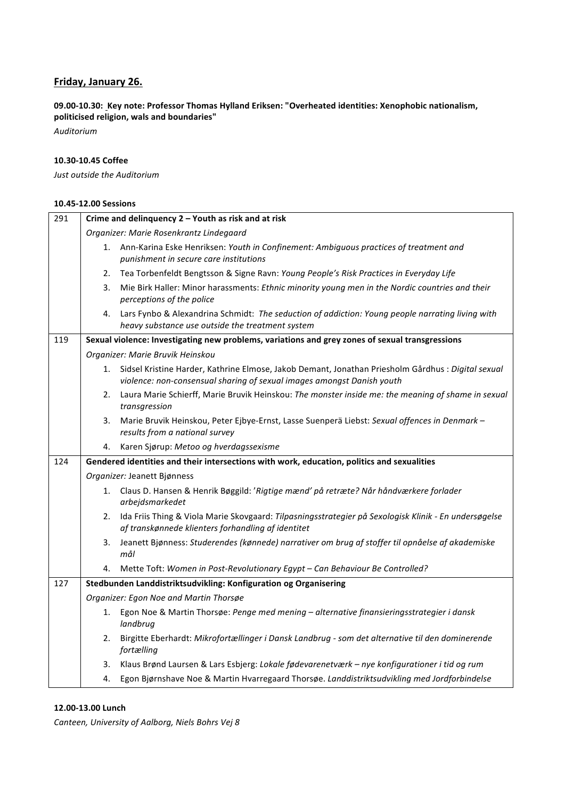# **Friday, January 26.**

09.00-10.30: Key note: Professor Thomas Hylland Eriksen: "Overheated identities: Xenophobic nationalism, **politicised religion, wals and boundaries"**

*Auditorium*

## **10.30-10.45 Coffee**

*Just outside the Auditorium*

# **10.45-12.00 Sessions**

| 291 | Crime and delinquency 2 - Youth as risk and at risk                                        |                                                                                                                                                                              |  |
|-----|--------------------------------------------------------------------------------------------|------------------------------------------------------------------------------------------------------------------------------------------------------------------------------|--|
|     | Organizer: Marie Rosenkrantz Lindegaard                                                    |                                                                                                                                                                              |  |
|     |                                                                                            | 1. Ann-Karina Eske Henriksen: Youth in Confinement: Ambiguous practices of treatment and<br>punishment in secure care institutions                                           |  |
|     | 2.                                                                                         | Tea Torbenfeldt Bengtsson & Signe Ravn: Young People's Risk Practices in Everyday Life                                                                                       |  |
|     | 3.                                                                                         | Mie Birk Haller: Minor harassments: Ethnic minority young men in the Nordic countries and their<br>perceptions of the police                                                 |  |
|     | 4.                                                                                         | Lars Fynbo & Alexandrina Schmidt: The seduction of addiction: Young people narrating living with<br>heavy substance use outside the treatment system                         |  |
| 119 |                                                                                            | Sexual violence: Investigating new problems, variations and grey zones of sexual transgressions                                                                              |  |
|     |                                                                                            | Organizer: Marie Bruvik Heinskou                                                                                                                                             |  |
|     | 1.                                                                                         | Sidsel Kristine Harder, Kathrine Elmose, Jakob Demant, Jonathan Priesholm Gårdhus : Digital sexual<br>violence: non-consensual sharing of sexual images amongst Danish youth |  |
|     | 2.                                                                                         | Laura Marie Schierff, Marie Bruvik Heinskou: The monster inside me: the meaning of shame in sexual<br>transgression                                                          |  |
|     | 3.                                                                                         | Marie Bruvik Heinskou, Peter Ejbye-Ernst, Lasse Suenperä Liebst: Sexual offences in Denmark -<br>results from a national survey                                              |  |
|     | 4.                                                                                         | Karen Sjørup: Metoo og hverdagssexisme                                                                                                                                       |  |
| 124 | Gendered identities and their intersections with work, education, politics and sexualities |                                                                                                                                                                              |  |
|     |                                                                                            | Organizer: Jeanett Bjønness                                                                                                                                                  |  |
|     |                                                                                            | 1. Claus D. Hansen & Henrik Bøggild: 'Rigtige mænd' på retræte? Når håndværkere forlader                                                                                     |  |
|     |                                                                                            | arbejdsmarkedet                                                                                                                                                              |  |
|     |                                                                                            | 2. Ida Friis Thing & Viola Marie Skovgaard: Tilpasningsstrategier på Sexologisk Klinik - En undersøgelse<br>af transkønnede klienters forhandling af identitet               |  |
|     | 3.                                                                                         | Jeanett Bjønness: Studerendes (kønnede) narrativer om brug af stoffer til opnåelse af akademiske<br>mål                                                                      |  |
|     | 4.                                                                                         | Mette Toft: Women in Post-Revolutionary Egypt - Can Behaviour Be Controlled?                                                                                                 |  |
| 127 |                                                                                            | Stedbunden Landdistriktsudvikling: Konfiguration og Organisering                                                                                                             |  |
|     |                                                                                            | Organizer: Egon Noe and Martin Thorsøe                                                                                                                                       |  |
|     | 1.                                                                                         | Egon Noe & Martin Thorsøe: Penge med mening - alternative finansieringsstrategier i dansk<br>landbrug                                                                        |  |
|     |                                                                                            | 2. Birgitte Eberhardt: Mikrofortællinger i Dansk Landbrug - som det alternative til den dominerende<br>fortælling                                                            |  |
|     | 3.                                                                                         | Klaus Brønd Laursen & Lars Esbjerg: Lokale fødevarenetværk - nye konfigurationer i tid og rum                                                                                |  |

#### **12.00-13.00 Lunch**

Canteen, University of Aalborg, Niels Bohrs Vej 8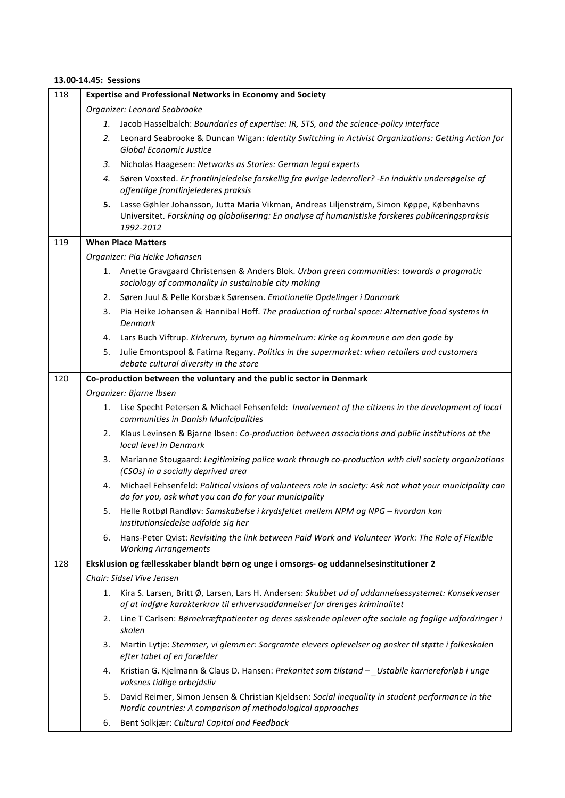## **13.00-14.45: Sessions**

| 118 | <b>Expertise and Professional Networks in Economy and Society</b> |                                                                                                                                                                                                            |
|-----|-------------------------------------------------------------------|------------------------------------------------------------------------------------------------------------------------------------------------------------------------------------------------------------|
|     | Organizer: Leonard Seabrooke                                      |                                                                                                                                                                                                            |
|     | 1.                                                                | Jacob Hasselbalch: Boundaries of expertise: IR, STS, and the science-policy interface                                                                                                                      |
|     | 2.                                                                | Leonard Seabrooke & Duncan Wigan: Identity Switching in Activist Organizations: Getting Action for<br>Global Economic Justice                                                                              |
|     | 3.                                                                | Nicholas Haagesen: Networks as Stories: German legal experts                                                                                                                                               |
|     | 4.                                                                | Søren Voxsted. Er frontlinjeledelse forskellig fra øvrige lederroller? - En induktiv undersøgelse af<br>offentlige frontlinjelederes praksis                                                               |
|     | 5.                                                                | Lasse Gøhler Johansson, Jutta Maria Vikman, Andreas Liljenstrøm, Simon Køppe, Københavns<br>Universitet. Forskning og globalisering: En analyse af humanistiske forskeres publiceringspraksis<br>1992-2012 |
| 119 | <b>When Place Matters</b>                                         |                                                                                                                                                                                                            |
|     | Organizer: Pia Heike Johansen                                     |                                                                                                                                                                                                            |
|     |                                                                   | 1. Anette Gravgaard Christensen & Anders Blok. Urban green communities: towards a pragmatic<br>sociology of commonality in sustainable city making                                                         |
|     | 2.                                                                | Søren Juul & Pelle Korsbæk Sørensen. Emotionelle Opdelinger i Danmark                                                                                                                                      |
|     | 3.                                                                | Pia Heike Johansen & Hannibal Hoff. The production of rurbal space: Alternative food systems in<br><b>Denmark</b>                                                                                          |
|     |                                                                   | 4. Lars Buch Viftrup. Kirkerum, byrum og himmelrum: Kirke og kommune om den gode by                                                                                                                        |
|     | 5.                                                                | Julie Emontspool & Fatima Regany. Politics in the supermarket: when retailers and customers<br>debate cultural diversity in the store                                                                      |
| 120 |                                                                   | Co-production between the voluntary and the public sector in Denmark                                                                                                                                       |
|     |                                                                   | Organizer: Bjarne Ibsen                                                                                                                                                                                    |
|     | 1.                                                                | Lise Specht Petersen & Michael Fehsenfeld: Involvement of the citizens in the development of local<br>communities in Danish Municipalities                                                                 |
|     | 2.                                                                | Klaus Levinsen & Bjarne Ibsen: Co-production between associations and public institutions at the<br>local level in Denmark                                                                                 |
|     | 3.                                                                | Marianne Stougaard: Legitimizing police work through co-production with civil society organizations<br>(CSOs) in a socially deprived area                                                                  |
|     | 4.                                                                | Michael Fehsenfeld: Political visions of volunteers role in society: Ask not what your municipality can<br>do for you, ask what you can do for your municipality                                           |
|     |                                                                   | 5. Helle Rotbøl Randløv: Samskabelse i krydsfeltet mellem NPM og NPG - hvordan kan<br>institutionsledelse udfolde sig her                                                                                  |
|     | 6.                                                                | Hans-Peter Qvist: Revisiting the link between Paid Work and Volunteer Work: The Role of Flexible<br><b>Working Arrangements</b>                                                                            |
| 128 |                                                                   | Eksklusion og fællesskaber blandt børn og unge i omsorgs- og uddannelsesinstitutioner 2                                                                                                                    |
|     |                                                                   | Chair: Sidsel Vive Jensen                                                                                                                                                                                  |
|     | 1.                                                                | Kira S. Larsen, Britt Ø, Larsen, Lars H. Andersen: Skubbet ud af uddannelsessystemet: Konsekvenser<br>af at indføre karakterkrav til erhvervsuddannelser for drenges kriminalitet                          |
|     | 2.                                                                | Line T Carlsen: Børnekræftpatienter og deres søskende oplever ofte sociale og faglige udfordringer i<br>skolen                                                                                             |
|     | 3.                                                                | Martin Lytje: Stemmer, vi glemmer: Sorgramte elevers oplevelser og ønsker til støtte i folkeskolen<br>efter tabet af en forælder                                                                           |
|     | 4.                                                                | Kristian G. Kjelmann & Claus D. Hansen: Prekaritet som tilstand - Ustabile karriereforløb i unge<br>voksnes tidlige arbejdsliv                                                                             |
|     | 5.                                                                | David Reimer, Simon Jensen & Christian Kjeldsen: Social inequality in student performance in the<br>Nordic countries: A comparison of methodological approaches                                            |
|     | 6.                                                                | Bent Solkjær: Cultural Capital and Feedback                                                                                                                                                                |